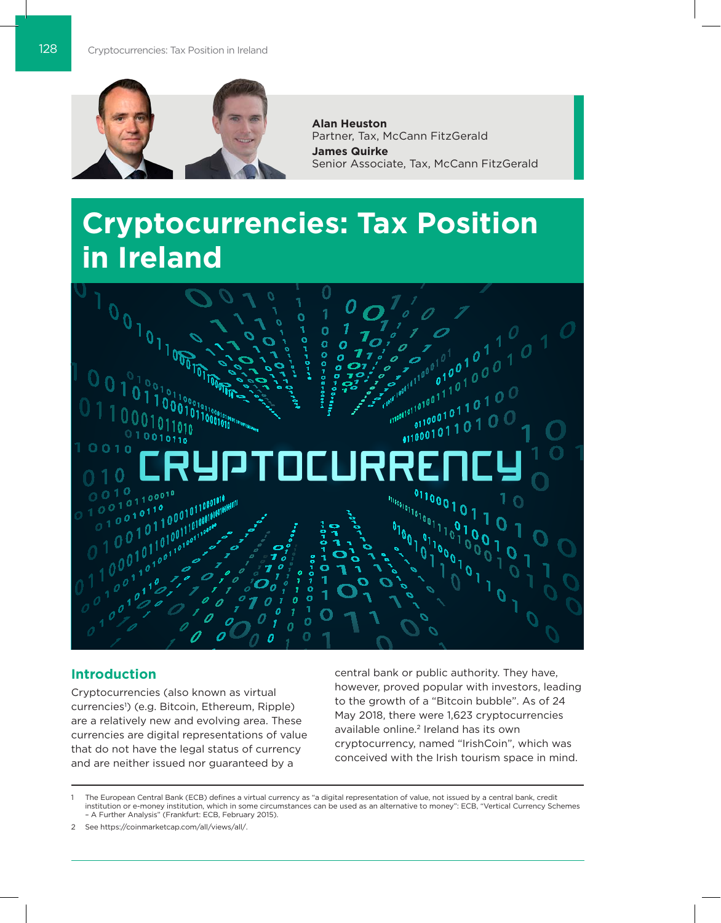

**Alan Heuston** Partner, Tax, McCann FitzGerald **James Quirke** Senior Associate, Tax, McCann FitzGerald

# **Cryptocurrencies: Tax Position in Ireland**



## **Introduction**

Cryptocurrencies (also known as virtual currencies1 ) (e.g. Bitcoin, Ethereum, Ripple) are a relatively new and evolving area. These currencies are digital representations of value that do not have the legal status of currency and are neither issued nor guaranteed by a

central bank or public authority. They have, however, proved popular with investors, leading to the growth of a "Bitcoin bubble". As of 24 May 2018, there were 1,623 cryptocurrencies available online.2 Ireland has its own cryptocurrency, named "IrishCoin", which was conceived with the Irish tourism space in mind.

1 The European Central Bank (ECB) defines a virtual currency as "a digital representation of value, not issued by a central bank, credit institution or e-money institution, which in some circumstances can be used as an alternative to money": ECB, "Vertical Currency Schemes – A Further Analysis" (Frankfurt: ECB, February 2015).

2 See https://coinmarketcap.com/all/views/all/.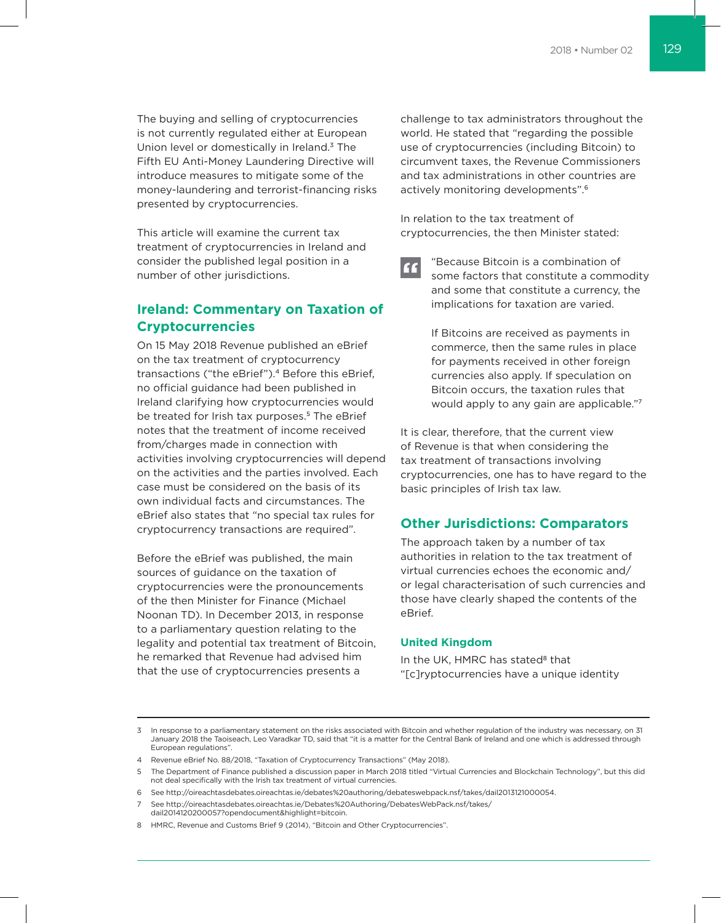The buying and selling of cryptocurrencies is not currently regulated either at European Union level or domestically in Ireland.3 The Fifth EU Anti-Money Laundering Directive will introduce measures to mitigate some of the money-laundering and terrorist-financing risks presented by cryptocurrencies.

This article will examine the current tax treatment of cryptocurrencies in Ireland and consider the published legal position in a number of other jurisdictions.

# **Ireland: Commentary on Taxation of Cryptocurrencies**

On 15 May 2018 Revenue published an eBrief on the tax treatment of cryptocurrency transactions ("the eBrief").<sup>4</sup> Before this eBrief, no official guidance had been published in Ireland clarifying how cryptocurrencies would be treated for Irish tax purposes.<sup>5</sup> The eBrief notes that the treatment of income received from/charges made in connection with activities involving cryptocurrencies will depend on the activities and the parties involved. Each case must be considered on the basis of its own individual facts and circumstances. The eBrief also states that "no special tax rules for cryptocurrency transactions are required".

Before the eBrief was published, the main sources of guidance on the taxation of cryptocurrencies were the pronouncements of the then Minister for Finance (Michael Noonan TD). In December 2013, in response to a parliamentary question relating to the legality and potential tax treatment of Bitcoin, he remarked that Revenue had advised him that the use of cryptocurrencies presents a

challenge to tax administrators throughout the world. He stated that "regarding the possible use of cryptocurrencies (including Bitcoin) to circumvent taxes, the Revenue Commissioners and tax administrations in other countries are actively monitoring developments".6

In relation to the tax treatment of cryptocurrencies, the then Minister stated:

"Because Bitcoin is a combination of " some factors that constitute a commodity and some that constitute a currency, the implications for taxation are varied.

> If Bitcoins are received as payments in commerce, then the same rules in place for payments received in other foreign currencies also apply. If speculation on Bitcoin occurs, the taxation rules that would apply to any gain are applicable."7

It is clear, therefore, that the current view of Revenue is that when considering the tax treatment of transactions involving cryptocurrencies, one has to have regard to the basic principles of Irish tax law.

## **Other Jurisdictions: Comparators**

The approach taken by a number of tax authorities in relation to the tax treatment of virtual currencies echoes the economic and/ or legal characterisation of such currencies and those have clearly shaped the contents of the eBrief.

## **United Kingdom**

In the UK, HMRC has stated<sup>8</sup> that "[c]ryptocurrencies have a unique identity

<sup>3</sup> In response to a parliamentary statement on the risks associated with Bitcoin and whether regulation of the industry was necessary, on 31 January 2018 the Taoiseach, Leo Varadkar TD, said that "it is a matter for the Central Bank of Ireland and one which is addressed through European regulations".

<sup>4</sup> Revenue eBrief No. 88/2018, "Taxation of Cryptocurrency Transactions" (May 2018).

<sup>5</sup> The Department of Finance published a discussion paper in March 2018 titled "Virtual Currencies and Blockchain Technology", but this did not deal specifically with the Irish tax treatment of virtual currencies.

<sup>6</sup> See http://oireachtasdebates.oireachtas.ie/debates%20authoring/debateswebpack.nsf/takes/dail2013121000054.

<sup>7</sup> See http://oireachtasdebates.oireachtas.ie/Debates%20Authoring/DebatesWebPack.nsf/takes/ dail2014120200057?opendocument&highlight=bitcoin.

<sup>8</sup> HMRC, Revenue and Customs Brief 9 (2014), "Bitcoin and Other Cryptocurrencies".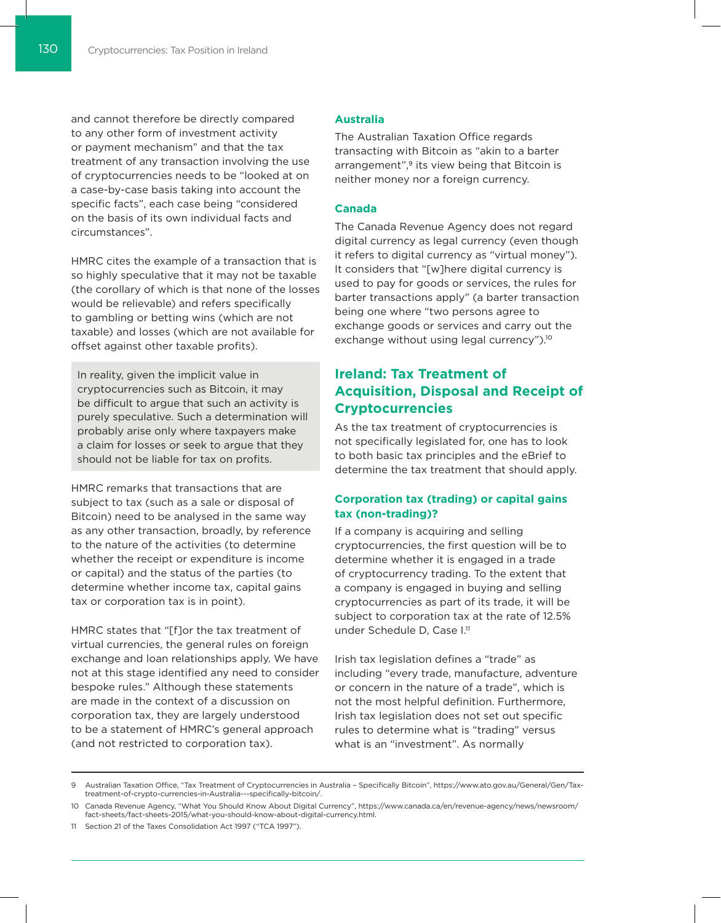and cannot therefore be directly compared to any other form of investment activity or payment mechanism" and that the tax treatment of any transaction involving the use of cryptocurrencies needs to be "looked at on a case-by-case basis taking into account the specific facts", each case being "considered on the basis of its own individual facts and circumstances".

HMRC cites the example of a transaction that is so highly speculative that it may not be taxable (the corollary of which is that none of the losses would be relievable) and refers specifically to gambling or betting wins (which are not taxable) and losses (which are not available for offset against other taxable profits).

In reality, given the implicit value in cryptocurrencies such as Bitcoin, it may be difficult to argue that such an activity is purely speculative. Such a determination will probably arise only where taxpayers make a claim for losses or seek to argue that they should not be liable for tax on profits.

HMRC remarks that transactions that are subject to tax (such as a sale or disposal of Bitcoin) need to be analysed in the same way as any other transaction, broadly, by reference to the nature of the activities (to determine whether the receipt or expenditure is income or capital) and the status of the parties (to determine whether income tax, capital gains tax or corporation tax is in point).

HMRC states that "[f]or the tax treatment of virtual currencies, the general rules on foreign exchange and loan relationships apply. We have not at this stage identified any need to consider bespoke rules." Although these statements are made in the context of a discussion on corporation tax, they are largely understood to be a statement of HMRC's general approach (and not restricted to corporation tax).

## **Australia**

The Australian Taxation Office regards transacting with Bitcoin as "akin to a barter arrangement",<sup>9</sup> its view being that Bitcoin is neither money nor a foreign currency.

#### **Canada**

The Canada Revenue Agency does not regard digital currency as legal currency (even though it refers to digital currency as "virtual money"). It considers that "[w]here digital currency is used to pay for goods or services, the rules for barter transactions apply" (a barter transaction being one where "two persons agree to exchange goods or services and carry out the exchange without using legal currency").<sup>10</sup>

# **Ireland: Tax Treatment of Acquisition, Disposal and Receipt of Cryptocurrencies**

As the tax treatment of cryptocurrencies is not specifically legislated for, one has to look to both basic tax principles and the eBrief to determine the tax treatment that should apply.

## **Corporation tax (trading) or capital gains tax (non-trading)?**

If a company is acquiring and selling cryptocurrencies, the first question will be to determine whether it is engaged in a trade of cryptocurrency trading. To the extent that a company is engaged in buying and selling cryptocurrencies as part of its trade, it will be subject to corporation tax at the rate of 12.5% under Schedule D, Case I.<sup>11</sup>

Irish tax legislation defines a "trade" as including "every trade, manufacture, adventure or concern in the nature of a trade", which is not the most helpful definition. Furthermore, Irish tax legislation does not set out specific rules to determine what is "trading" versus what is an "investment". As normally

<sup>9</sup> Australian Taxation Office, "Tax Treatment of Cryptocurrencies in Australia – Specifically Bitcoin", https://www.ato.gov.au/General/Gen/Taxtreatment-of-crypto-currencies-in-Australia---specifically-bitcoin/.

<sup>10</sup> Canada Revenue Agency, "What You Should Know About Digital Currency", https://www.canada.ca/en/revenue-agency/news/newsroom/ fact-sheets/fact-sheets-2015/what-you-should-know-about-digital-currency.html.

<sup>11</sup> Section 21 of the Taxes Consolidation Act 1997 ("TCA 1997").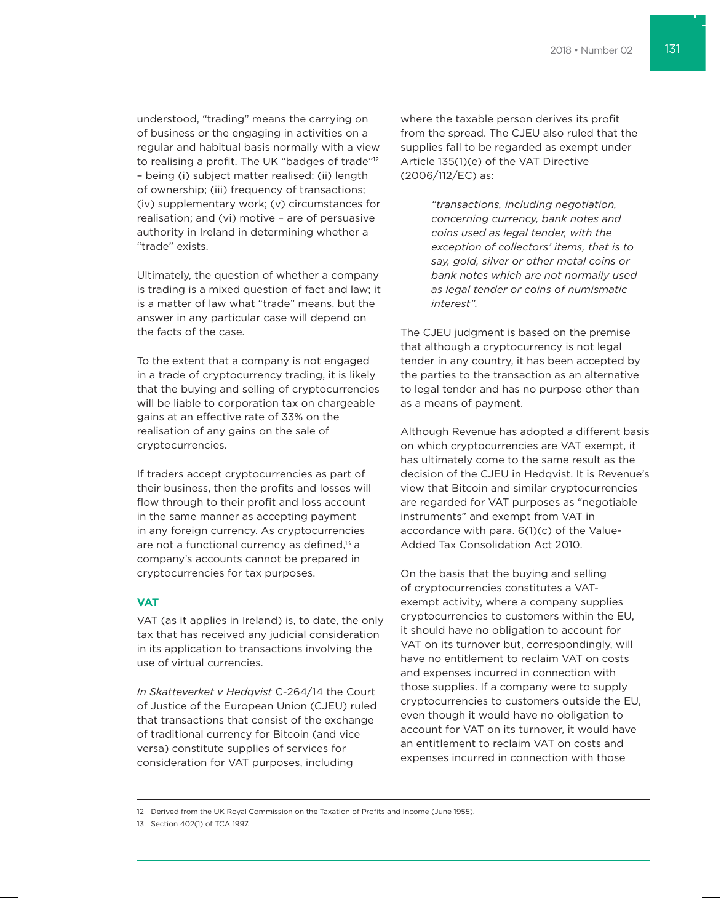understood, "trading" means the carrying on of business or the engaging in activities on a regular and habitual basis normally with a view to realising a profit. The UK "badges of trade"12 – being (i) subject matter realised; (ii) length of ownership; (iii) frequency of transactions; (iv) supplementary work; (v) circumstances for realisation; and (vi) motive – are of persuasive authority in Ireland in determining whether a "trade" exists.

Ultimately, the question of whether a company is trading is a mixed question of fact and law; it is a matter of law what "trade" means, but the answer in any particular case will depend on the facts of the case.

To the extent that a company is not engaged in a trade of cryptocurrency trading, it is likely that the buying and selling of cryptocurrencies will be liable to corporation tax on chargeable gains at an effective rate of 33% on the realisation of any gains on the sale of cryptocurrencies.

If traders accept cryptocurrencies as part of their business, then the profits and losses will flow through to their profit and loss account in the same manner as accepting payment in any foreign currency. As cryptocurrencies are not a functional currency as defined,<sup>13</sup> a company's accounts cannot be prepared in cryptocurrencies for tax purposes.

## **VAT**

VAT (as it applies in Ireland) is, to date, the only tax that has received any judicial consideration in its application to transactions involving the use of virtual currencies.

*In Skatteverket v Hedqvist* C-264/14 the Court of Justice of the European Union (CJEU) ruled that transactions that consist of the exchange of traditional currency for Bitcoin (and vice versa) constitute supplies of services for consideration for VAT purposes, including

where the taxable person derives its profit from the spread. The CJEU also ruled that the supplies fall to be regarded as exempt under Article 135(1)(e) of the VAT Directive (2006/112/EC) as:

> *"transactions, including negotiation, concerning currency, bank notes and coins used as legal tender, with the exception of collectors' items, that is to say, gold, silver or other metal coins or bank notes which are not normally used as legal tender or coins of numismatic interest".*

The CJEU judgment is based on the premise that although a cryptocurrency is not legal tender in any country, it has been accepted by the parties to the transaction as an alternative to legal tender and has no purpose other than as a means of payment.

Although Revenue has adopted a different basis on which cryptocurrencies are VAT exempt, it has ultimately come to the same result as the decision of the CJEU in Hedqvist. It is Revenue's view that Bitcoin and similar cryptocurrencies are regarded for VAT purposes as "negotiable instruments" and exempt from VAT in accordance with para. 6(1)(c) of the Value-Added Tax Consolidation Act 2010.

On the basis that the buying and selling of cryptocurrencies constitutes a VATexempt activity, where a company supplies cryptocurrencies to customers within the EU, it should have no obligation to account for VAT on its turnover but, correspondingly, will have no entitlement to reclaim VAT on costs and expenses incurred in connection with those supplies. If a company were to supply cryptocurrencies to customers outside the EU, even though it would have no obligation to account for VAT on its turnover, it would have an entitlement to reclaim VAT on costs and expenses incurred in connection with those

<sup>12</sup> Derived from the UK Royal Commission on the Taxation of Profits and Income (June 1955).

<sup>13</sup> Section 402(1) of TCA 1997.